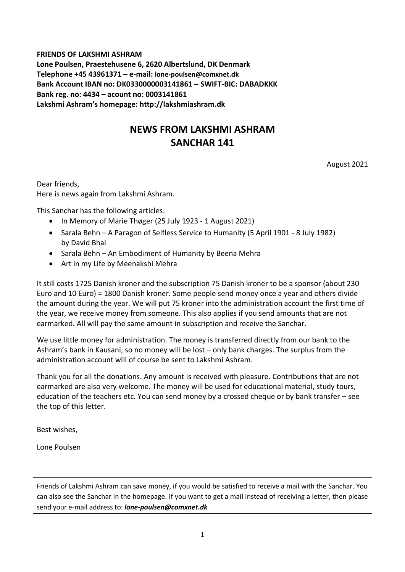**FRIENDS OF LAKSHMI ASHRAM Lone Poulsen, Praestehusene 6, 2620 Albertslund, DK Denmark Telephone +45 43961371 – e-mail: lone-poulsen@comxnet.dk Bank Account IBAN no: DK0330000003141861 – SWIFT-BIC: DABADKKK Bank reg. no: 4434 – acount no: 0003141861 Lakshmi Ashram's homepage: http://lakshmiashram.dk**

# **NEWS FROM LAKSHMI ASHRAM SANCHAR 141**

August 2021

Dear friends, Here is news again from Lakshmi Ashram.

This Sanchar has the following articles:

- In Memory of Marie Thøger (25 July 1923 1 August 2021)
- Sarala Behn A Paragon of Selfless Service to Humanity (5 April 1901 8 July 1982) by David Bhai
- Sarala Behn An Embodiment of Humanity by Beena Mehra
- Art in my Life by Meenakshi Mehra

It still costs 1725 Danish kroner and the subscription 75 Danish kroner to be a sponsor (about 230 Euro and 10 Euro) = 1800 Danish kroner. Some people send money once a year and others divide the amount during the year. We will put 75 kroner into the administration account the first time of the year, we receive money from someone. This also applies if you send amounts that are not earmarked. All will pay the same amount in subscription and receive the Sanchar.

We use little money for administration. The money is transferred directly from our bank to the Ashram's bank in Kausani, so no money will be lost – only bank charges. The surplus from the administration account will of course be sent to Lakshmi Ashram.

Thank you for all the donations. Any amount is received with pleasure. Contributions that are not earmarked are also very welcome. The money will be used for educational material, study tours, education of the teachers etc. You can send money by a crossed cheque or by bank transfer – see the top of this letter.

Best wishes,

Lone Poulsen

Friends of Lakshmi Ashram can save money, if you would be satisfied to receive a mail with the Sanchar. You can also see the Sanchar in the homepage. If you want to get a mail instead of receiving a letter, then please send your e-mail address to: *lone-poulsen@comxnet.dk*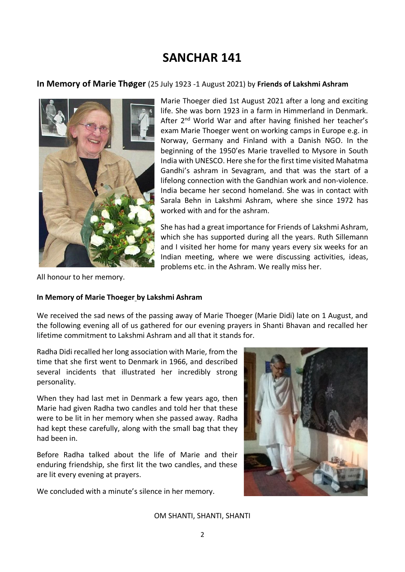# **SANCHAR 141**

### **In Memory of Marie Thøger** (25 July 1923 -1 August 2021) by **Friends of Lakshmi Ashram**



Marie Thoeger died 1st August 2021 after a long and exciting life. She was born 1923 in a farm in Himmerland in Denmark. After 2<sup>nd</sup> World War and after having finished her teacher's exam Marie Thoeger went on working camps in Europe e.g. in Norway, Germany and Finland with a Danish NGO. In the beginning of the 1950'es Marie travelled to Mysore in South India with UNESCO. Here she for the first time visited Mahatma Gandhi's ashram in Sevagram, and that was the start of a lifelong connection with the Gandhian work and non-violence. India became her second homeland. She was in contact with Sarala Behn in Lakshmi Ashram, where she since 1972 has worked with and for the ashram.

She has had a great importance for Friends of Lakshmi Ashram, which she has supported during all the years. Ruth Sillemann and I visited her home for many years every six weeks for an Indian meeting, where we were discussing activities, ideas, problems etc. in the Ashram. We really miss her.

All honour to her memory.

### **In Memory of Marie Thoeger by Lakshmi Ashram**

We received the sad news of the passing away of Marie Thoeger (Marie Didi) late on 1 August, and the following evening all of us gathered for our evening prayers in Shanti Bhavan and recalled her lifetime commitment to Lakshmi Ashram and all that it stands for.

Radha Didi recalled her long association with Marie, from the time that she first went to Denmark in 1966, and described several incidents that illustrated her incredibly strong personality.

When they had last met in Denmark a few years ago, then Marie had given Radha two candles and told her that these were to be lit in her memory when she passed away. Radha had kept these carefully, along with the small bag that they had been in.

Before Radha talked about the life of Marie and their enduring friendship, she first lit the two candles, and these are lit every evening at prayers.

We concluded with a minute's silence in her memory.



#### OM SHANTI, SHANTI, SHANTI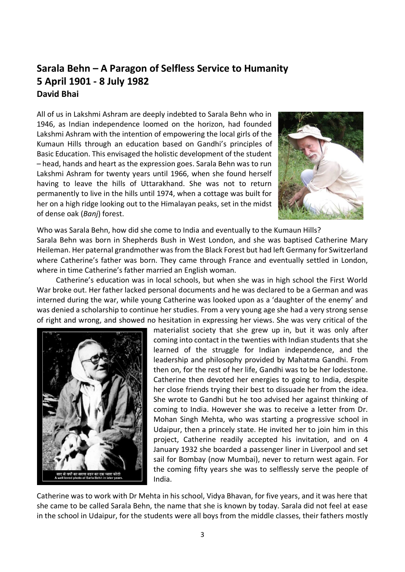## **Sarala Behn – A Paragon of Selfless Service to Humanity 5 April 1901 - 8 July 1982 David Bhai**

All of us in Lakshmi Ashram are deeply indebted to Sarala Behn who in 1946, as Indian independence loomed on the horizon, had founded Lakshmi Ashram with the intention of empowering the local girls of the Kumaun Hills through an education based on Gandhi's principles of Basic Education. This envisaged the holistic development of the student – head, hands and heart as the expression goes. Sarala Behn was to run Lakshmi Ashram for twenty years until 1966, when she found herself having to leave the hills of Uttarakhand. She was not to return permanently to live in the hills until 1974, when a cottage was built for her on a high ridge looking out to the Himalayan peaks, set in the midst of dense oak (*Banj*) forest.



Who was Sarala Behn, how did she come to India and eventually to the Kumaun Hills? Sarala Behn was born in Shepherds Bush in West London, and she was baptised Catherine Mary Heileman. Her paternal grandmother was from the Black Forest but had left Germany for Switzerland where Catherine's father was born. They came through France and eventually settled in London, where in time Catherine's father married an English woman.

Catherine's education was in local schools, but when she was in high school the First World War broke out. Her father lacked personal documents and he was declared to be a German and was interned during the war, while young Catherine was looked upon as a 'daughter of the enemy' and was denied a scholarship to continue her studies. From a very young age she had a very strong sense of right and wrong, and showed no hesitation in expressing her views. She was very critical of the



materialist society that she grew up in, but it was only after coming into contact in the twenties with Indian students that she learned of the struggle for Indian independence, and the leadership and philosophy provided by Mahatma Gandhi. From then on, for the rest of her life, Gandhi was to be her lodestone. Catherine then devoted her energies to going to India, despite her close friends trying their best to dissuade her from the idea. She wrote to Gandhi but he too advised her against thinking of coming to India. However she was to receive a letter from Dr. Mohan Singh Mehta, who was starting a progressive school in Udaipur, then a princely state. He invited her to join him in this project, Catherine readily accepted his invitation, and on 4 January 1932 she boarded a passenger liner in Liverpool and set sail for Bombay (now Mumbai), never to return west again. For the coming fifty years she was to selflessly serve the people of India.

Catherine was to work with Dr Mehta in his school, Vidya Bhavan, for five years, and it was here that she came to be called Sarala Behn, the name that she is known by today. Sarala did not feel at ease in the school in Udaipur, for the students were all boys from the middle classes, their fathers mostly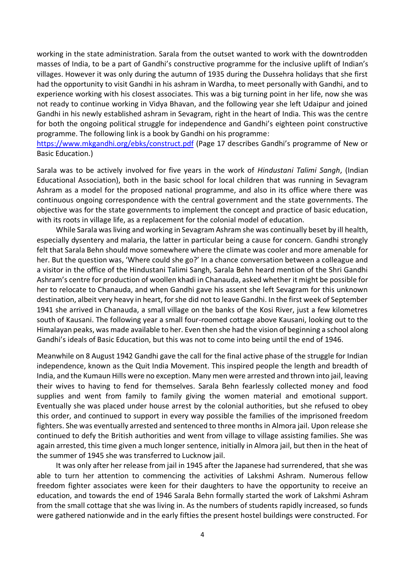working in the state administration. Sarala from the outset wanted to work with the downtrodden masses of India, to be a part of Gandhi's constructive programme for the inclusive uplift of Indian's villages. However it was only during the autumn of 1935 during the Dussehra holidays that she first had the opportunity to visit Gandhi in his ashram in Wardha, to meet personally with Gandhi, and to experience working with his closest associates. This was a big turning point in her life, now she was not ready to continue working in Vidya Bhavan, and the following year she left Udaipur and joined Gandhi in his newly established ashram in Sevagram, right in the heart of India. This was the centre for both the ongoing political struggle for independence and Gandhi's eighteen point constructive programme. The following link is a book by Gandhi on his programme:

https://www.mkgandhi.org/ebks/construct.pdf (Page 17 describes Gandhi's programme of New or Basic Education.)

Sarala was to be actively involved for five years in the work of *Hindustani Talimi Sangh*, (Indian Educational Association), both in the basic school for local children that was running in Sevagram Ashram as a model for the proposed national programme, and also in its office where there was continuous ongoing correspondence with the central government and the state governments. The objective was for the state governments to implement the concept and practice of basic education, with its roots in village life, as a replacement for the colonial model of education.

While Sarala was living and working in Sevagram Ashram she was continually beset by ill health, especially dysentery and malaria, the latter in particular being a cause for concern. Gandhi strongly felt that Sarala Behn should move somewhere where the climate was cooler and more amenable for her. But the question was, 'Where could she go?' In a chance conversation between a colleague and a visitor in the office of the Hindustani Talimi Sangh, Sarala Behn heard mention of the Shri Gandhi Ashram's centre for production of woollen khadi in Chanauda, asked whether it might be possible for her to relocate to Chanauda, and when Gandhi gave his assent she left Sevagram for this unknown destination, albeit very heavy in heart, for she did not to leave Gandhi. In the first week of September 1941 she arrived in Chanauda, a small village on the banks of the Kosi River, just a few kilometres south of Kausani. The following year a small four-roomed cottage above Kausani, looking out to the Himalayan peaks, was made available to her. Even then she had the vision of beginning a school along Gandhi's ideals of Basic Education, but this was not to come into being until the end of 1946.

Meanwhile on 8 August 1942 Gandhi gave the call for the final active phase of the struggle for Indian independence, known as the Quit India Movement. This inspired people the length and breadth of India, and the Kumaun Hills were no exception. Many men were arrested and thrown into jail, leaving their wives to having to fend for themselves. Sarala Behn fearlessly collected money and food supplies and went from family to family giving the women material and emotional support. Eventually she was placed under house arrest by the colonial authorities, but she refused to obey this order, and continued to support in every way possible the families of the imprisoned freedom fighters. She was eventually arrested and sentenced to three months in Almora jail. Upon release she continued to defy the British authorities and went from village to village assisting families. She was again arrested, this time given a much longer sentence, initially in Almora jail, but then in the heat of the summer of 1945 she was transferred to Lucknow jail.

It was only after her release from jail in 1945 after the Japanese had surrendered, that she was able to turn her attention to commencing the activities of Lakshmi Ashram. Numerous fellow freedom fighter associates were keen for their daughters to have the opportunity to receive an education, and towards the end of 1946 Sarala Behn formally started the work of Lakshmi Ashram from the small cottage that she was living in. As the numbers of students rapidly increased, so funds were gathered nationwide and in the early fifties the present hostel buildings were constructed. For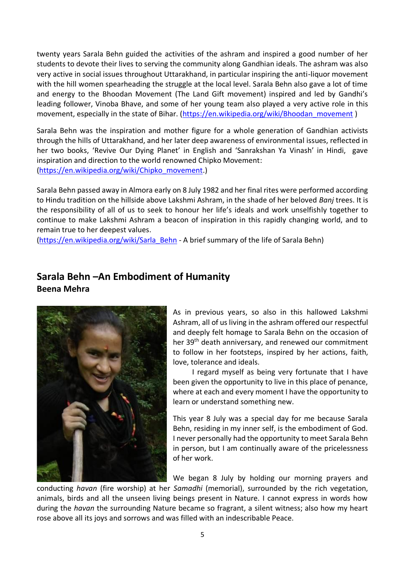twenty years Sarala Behn guided the activities of the ashram and inspired a good number of her students to devote their lives to serving the community along Gandhian ideals. The ashram was also very active in social issues throughout Uttarakhand, in particular inspiring the anti-liquor movement with the hill women spearheading the struggle at the local level. Sarala Behn also gave a lot of time and energy to the Bhoodan Movement (The Land Gift movement) inspired and led by Gandhi's leading follower, Vinoba Bhave, and some of her young team also played a very active role in this movement, especially in the state of Bihar. (https://en.wikipedia.org/wiki/Bhoodan\_movement)

Sarala Behn was the inspiration and mother figure for a whole generation of Gandhian activists through the hills of Uttarakhand, and her later deep awareness of environmental issues, reflected in her two books, 'Revive Our Dying Planet' in English and 'Sanrakshan Ya Vinash' in Hindi, gave inspiration and direction to the world renowned Chipko Movement: (https://en.wikipedia.org/wiki/Chipko\_movement.)

Sarala Behn passed away in Almora early on 8 July 1982 and her final rites were performed according to Hindu tradition on the hillside above Lakshmi Ashram, in the shade of her beloved *Banj* trees. It is the responsibility of all of us to seek to honour her life's ideals and work unselfishly together to continue to make Lakshmi Ashram a beacon of inspiration in this rapidly changing world, and to remain true to her deepest values.

(https://en.wikipedia.org/wiki/Sarla\_Behn - A brief summary of the life of Sarala Behn)

## **Sarala Behn –An Embodiment of Humanity Beena Mehra**



As in previous years, so also in this hallowed Lakshmi Ashram, all of us living in the ashram offered our respectful and deeply felt homage to Sarala Behn on the occasion of her 39<sup>th</sup> death anniversary, and renewed our commitment to follow in her footsteps, inspired by her actions, faith, love, tolerance and ideals.

I regard myself as being very fortunate that I have been given the opportunity to live in this place of penance, where at each and every moment I have the opportunity to learn or understand something new.

This year 8 July was a special day for me because Sarala Behn, residing in my inner self, is the embodiment of God. I never personally had the opportunity to meet Sarala Behn in person, but I am continually aware of the pricelessness of her work.

We began 8 July by holding our morning prayers and

conducting *havan* (fire worship) at her *Samadhi* (memorial), surrounded by the rich vegetation, animals, birds and all the unseen living beings present in Nature. I cannot express in words how during the *havan* the surrounding Nature became so fragrant, a silent witness; also how my heart rose above all its joys and sorrows and was filled with an indescribable Peace.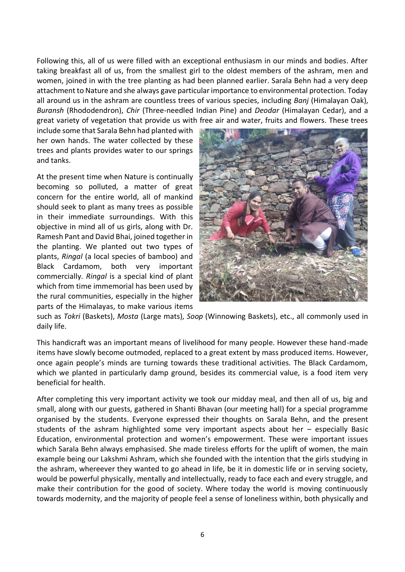Following this, all of us were filled with an exceptional enthusiasm in our minds and bodies. After taking breakfast all of us, from the smallest girl to the oldest members of the ashram, men and women, joined in with the tree planting as had been planned earlier. Sarala Behn had a very deep attachment to Nature and she always gave particular importance to environmental protection. Today all around us in the ashram are countless trees of various species, including *Banj* (Himalayan Oak), *Buransh* (Rhododendron), *Chir* (Three-needled Indian Pine) and *Deodar* (Himalayan Cedar), and a great variety of vegetation that provide us with free air and water, fruits and flowers. These trees

include some that Sarala Behn had planted with her own hands. The water collected by these trees and plants provides water to our springs and tanks.

At the present time when Nature is continually becoming so polluted, a matter of great concern for the entire world, all of mankind should seek to plant as many trees as possible in their immediate surroundings. With this objective in mind all of us girls, along with Dr. Ramesh Pant and David Bhai, joined together in the planting. We planted out two types of plants, *Ringal* (a local species of bamboo) and Black Cardamom, both very important commercially. *Ringal* is a special kind of plant which from time immemorial has been used by the rural communities, especially in the higher parts of the Himalayas, to make various items



such as *Tokri* (Baskets), *Mosta* (Large mats), *Soop* (Winnowing Baskets), etc., all commonly used in daily life.

This handicraft was an important means of livelihood for many people. However these hand-made items have slowly become outmoded, replaced to a great extent by mass produced items. However, once again people's minds are turning towards these traditional activities. The Black Cardamom, which we planted in particularly damp ground, besides its commercial value, is a food item very beneficial for health.

After completing this very important activity we took our midday meal, and then all of us, big and small, along with our guests, gathered in Shanti Bhavan (our meeting hall) for a special programme organised by the students. Everyone expressed their thoughts on Sarala Behn, and the present students of the ashram highlighted some very important aspects about her – especially Basic Education, environmental protection and women's empowerment. These were important issues which Sarala Behn always emphasised. She made tireless efforts for the uplift of women, the main example being our Lakshmi Ashram, which she founded with the intention that the girls studying in the ashram, whereever they wanted to go ahead in life, be it in domestic life or in serving society, would be powerful physically, mentally and intellectually, ready to face each and every struggle, and make their contribution for the good of society. Where today the world is moving continuously towards modernity, and the majority of people feel a sense of loneliness within, both physically and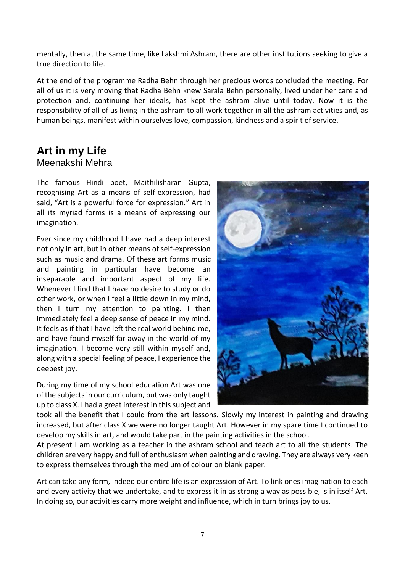mentally, then at the same time, like Lakshmi Ashram, there are other institutions seeking to give a true direction to life.

At the end of the programme Radha Behn through her precious words concluded the meeting. For all of us it is very moving that Radha Behn knew Sarala Behn personally, lived under her care and protection and, continuing her ideals, has kept the ashram alive until today. Now it is the responsibility of all of us living in the ashram to all work together in all the ashram activities and, as human beings, manifest within ourselves love, compassion, kindness and a spirit of service.

# **Art in my Life**

## Meenakshi Mehra

The famous Hindi poet, Maithilisharan Gupta, recognising Art as a means of self-expression, had said, "Art is a powerful force for expression." Art in all its myriad forms is a means of expressing our imagination.

Ever since my childhood I have had a deep interest not only in art, but in other means of self-expression such as music and drama. Of these art forms music and painting in particular have become an inseparable and important aspect of my life. Whenever I find that I have no desire to study or do other work, or when I feel a little down in my mind, then I turn my attention to painting. I then immediately feel a deep sense of peace in my mind. It feels as if that I have left the real world behind me, and have found myself far away in the world of my imagination. I become very still within myself and, along with a special feeling of peace, I experience the deepest joy.

During my time of my school education Art was one of the subjects in our curriculum, but was only taught up to class X. I had a great interest in this subject and



took all the benefit that I could from the art lessons. Slowly my interest in painting and drawing increased, but after class X we were no longer taught Art. However in my spare time I continued to develop my skills in art, and would take part in the painting activities in the school.

At present I am working as a teacher in the ashram school and teach art to all the students. The children are very happy and full of enthusiasm when painting and drawing. They are always very keen to express themselves through the medium of colour on blank paper.

Art can take any form, indeed our entire life is an expression of Art. To link ones imagination to each and every activity that we undertake, and to express it in as strong a way as possible, is in itself Art. In doing so, our activities carry more weight and influence, which in turn brings joy to us.